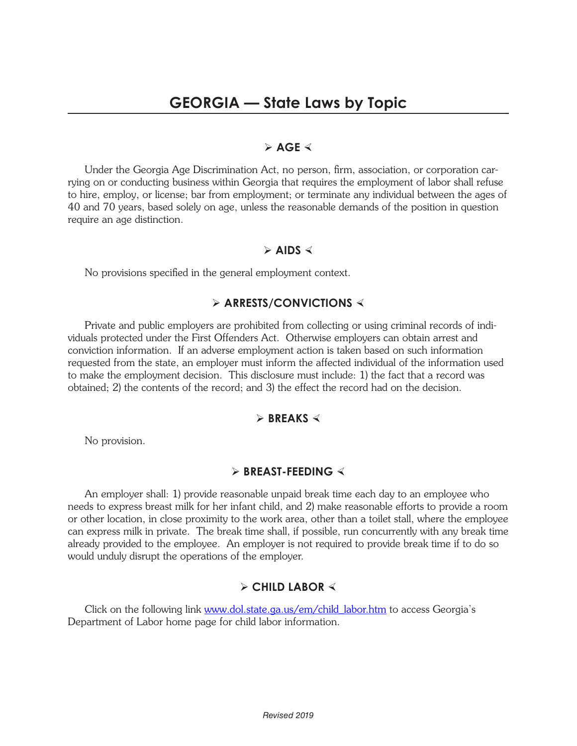# $\triangleright$  AGF  $\triangleleft$

Under the Georgia Age Discrimination Act, no person, firm, association, or corporation carrying on or conducting business within Georgia that requires the employment of labor shall refuse to hire, employ, or license; bar from employment; or terminate any individual between the ages of 40 and 70 years, based solely on age, unless the reasonable demands of the position in question require an age distinction.

# $\triangleright$  AIDS  $\triangleleft$

No provisions specified in the general employment context.

# $\triangleright$  ARRESTS/CONVICTIONS  $\triangleleft$

Private and public employers are prohibited from collecting or using criminal records of individuals protected under the First Offenders Act. Otherwise employers can obtain arrest and conviction information. If an adverse employment action is taken based on such information requested from the state, an employer must inform the affected individual of the information used to make the employment decision. This disclosure must include: 1) the fact that a record was obtained; 2) the contents of the record; and 3) the effect the record had on the decision.

# $\triangleright$  BREAKS  $\triangleleft$

No provision.

# $\triangleright$  BREAST-FEEDING  $\triangleleft$

An employer shall: 1) provide reasonable unpaid break time each day to an employee who needs to express breast milk for her infant child, and 2) make reasonable efforts to provide a room or other location, in close proximity to the work area, other than a toilet stall, where the employee can express milk in private. The break time shall, if possible, run concurrently with any break time already provided to the employee. An employer is not required to provide break time if to do so would unduly disrupt the operations of the employer.

# **CHILD LABOR ≼**

Click on the following link www.dol.state.ga.us/em/child\_labor.htm to access Georgia's Department of Labor home page for child labor information.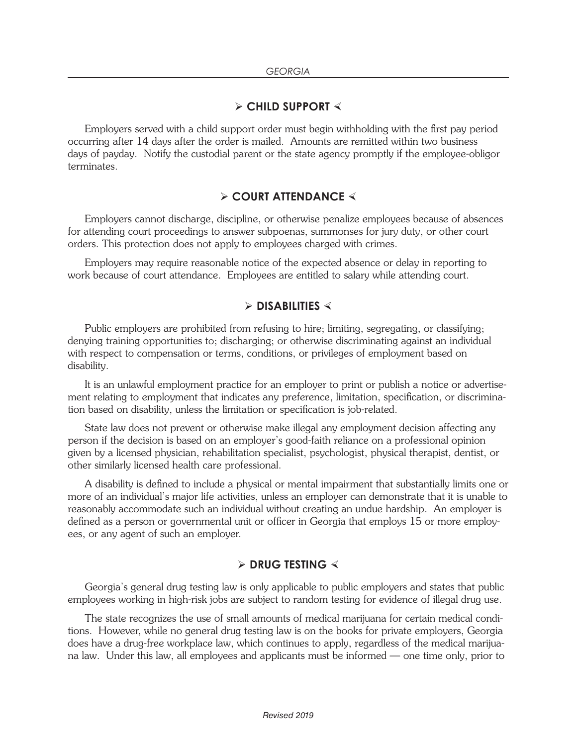### **CHILD SUPPORT**

Employers served with a child support order must begin withholding with the first pay period occurring after 14 days after the order is mailed. Amounts are remitted within two business days of payday. Notify the custodial parent or the state agency promptly if the employee-obligor terminates.

# **COURT ATTENDANCE**

Employers cannot discharge, discipline, or otherwise penalize employees because of absences for attending court proceedings to answer subpoenas, summonses for jury duty, or other court orders. This protection does not apply to employees charged with crimes.

Employers may require reasonable notice of the expected absence or delay in reporting to work because of court attendance. Employees are entitled to salary while attending court.

### $\triangleright$  DISABILITIES  $\triangleleft$

Public employers are prohibited from refusing to hire; limiting, segregating, or classifying; denying training opportunities to; discharging; or otherwise discriminating against an individual with respect to compensation or terms, conditions, or privileges of employment based on disability.

It is an unlawful employment practice for an employer to print or publish a notice or advertisement relating to employment that indicates any preference, limitation, specification, or discrimination based on disability, unless the limitation or specification is job-related.

State law does not prevent or otherwise make illegal any employment decision affecting any person if the decision is based on an employer's good-faith reliance on a professional opinion given by a licensed physician, rehabilitation specialist, psychologist, physical therapist, dentist, or other similarly licensed health care professional.

 A disability is defined to include a physical or mental impairment that substantially limits one or more of an individual's major life activities, unless an employer can demonstrate that it is unable to reasonably accommodate such an individual without creating an undue hardship. An employer is defined as a person or governmental unit or officer in Georgia that employs 15 or more employees, or any agent of such an employer.

# $\triangleright$  DRUG TESTING  $\triangleleft$

Georgia's general drug testing law is only applicable to public employers and states that public employees working in high-risk jobs are subject to random testing for evidence of illegal drug use.

The state recognizes the use of small amounts of medical marijuana for certain medical conditions. However, while no general drug testing law is on the books for private employers, Georgia does have a drug-free workplace law, which continues to apply, regardless of the medical marijuana law. Under this law, all employees and applicants must be informed — one time only, prior to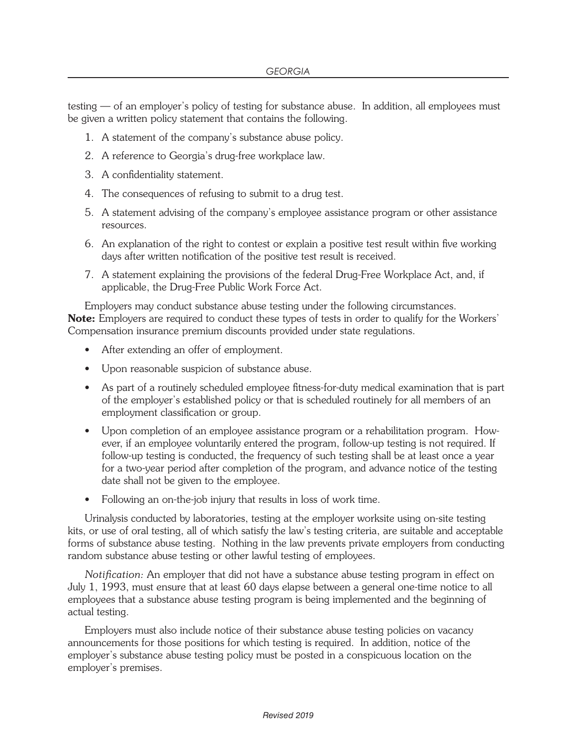testing — of an employer's policy of testing for substance abuse. In addition, all employees must be given a written policy statement that contains the following.

- 1. A statement of the company's substance abuse policy.
- 2. A reference to Georgia's drug-free workplace law.
- 3. A confidentiality statement.
- 4. The consequences of refusing to submit to a drug test.
- 5. A statement advising of the company's employee assistance program or other assistance resources.
- 6. An explanation of the right to contest or explain a positive test result within five working days after written notification of the positive test result is received.
- 7. A statement explaining the provisions of the federal Drug-Free Workplace Act, and, if applicable, the Drug-Free Public Work Force Act.

Employers may conduct substance abuse testing under the following circumstances. Note: Employers are required to conduct these types of tests in order to qualify for the Workers' Compensation insurance premium discounts provided under state regulations.

- After extending an offer of employment.
- Upon reasonable suspicion of substance abuse.
- As part of a routinely scheduled employee fitness-for-duty medical examination that is part of the employer's established policy or that is scheduled routinely for all members of an employment classification or group.
- • Upon completion of an employee assistance program or a rehabilitation program. However, if an employee voluntarily entered the program, follow-up testing is not required. If follow-up testing is conducted, the frequency of such testing shall be at least once a year for a two-year period after completion of the program, and advance notice of the testing date shall not be given to the employee.
- Following an on-the-job injury that results in loss of work time.

Urinalysis conducted by laboratories, testing at the employer worksite using on-site testing kits, or use of oral testing, all of which satisfy the law's testing criteria, are suitable and acceptable forms of substance abuse testing. Nothing in the law prevents private employers from conducting random substance abuse testing or other lawful testing of employees.

*Notification:* An employer that did not have a substance abuse testing program in effect on July 1, 1993, must ensure that at least 60 days elapse between a general one-time notice to all employees that a substance abuse testing program is being implemented and the beginning of actual testing.

Employers must also include notice of their substance abuse testing policies on vacancy announcements for those positions for which testing is required. In addition, notice of the employer's substance abuse testing policy must be posted in a conspicuous location on the employer's premises.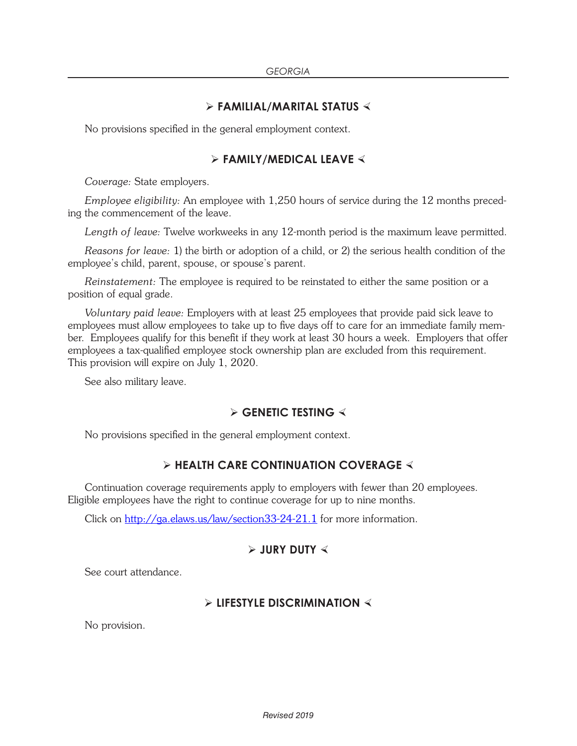### **FAMILIAL/MARITAL STATUS**

No provisions specified in the general employment context.

# **FAMILY/MEDICAL LEAVE**

*Coverage:* State employers.

*Employee eligibility:* An employee with 1,250 hours of service during the 12 months preceding the commencement of the leave.

*Length of leave:* Twelve workweeks in any 12-month period is the maximum leave permitted.

*Reasons for leave:* 1) the birth or adoption of a child, or 2) the serious health condition of the employee's child, parent, spouse, or spouse's parent.

*Reinstatement:* The employee is required to be reinstated to either the same position or a position of equal grade.

*Voluntary paid leave:* Employers with at least 25 employees that provide paid sick leave to employees must allow employees to take up to five days off to care for an immediate family member. Employees qualify for this benefit if they work at least 30 hours a week. Employers that offer employees a tax-qualified employee stock ownership plan are excluded from this requirement. This provision will expire on July 1, 2020.

See also military leave.

# **GENETIC TESTING**

No provisions specified in the general employment context.

# **HEALTH CARE CONTINUATION COVERAGE**

Continuation coverage requirements apply to employers with fewer than 20 employees. Eligible employees have the right to continue coverage for up to nine months.

Click on<http://ga.elaws.us/law/section33-24-21.1>for more information.

# $>$  JURY DUTY  $\leq$

See court attendance.

# **LIFESTYLE DISCRIMINATION**

No provision.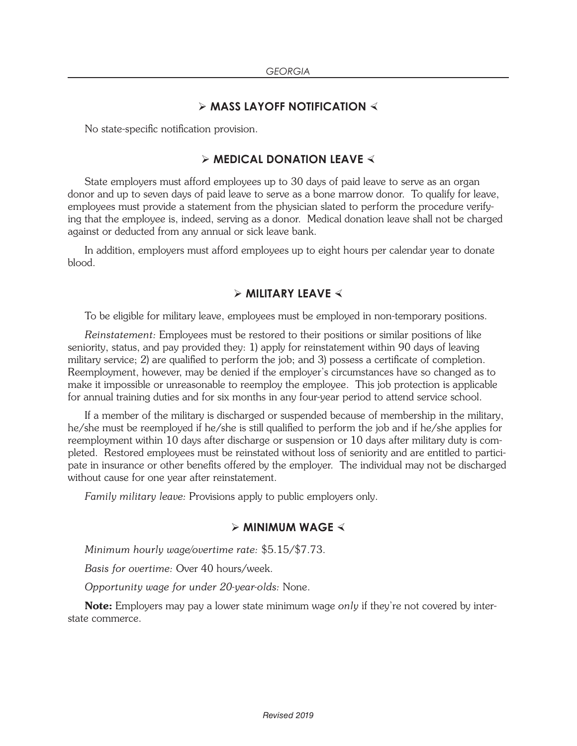# $\triangleright$  MASS LAYOFF NOTIFICATION  $\triangleleft$

No state-specific notification provision.

# $\triangleright$  MEDICAL DONATION LEAVE  $\triangleleft$

State employers must afford employees up to 30 days of paid leave to serve as an organ donor and up to seven days of paid leave to serve as a bone marrow donor. To qualify for leave, employees must provide a statement from the physician slated to perform the procedure verifying that the employee is, indeed, serving as a donor. Medical donation leave shall not be charged against or deducted from any annual or sick leave bank.

In addition, employers must afford employees up to eight hours per calendar year to donate blood.

## $\triangleright$  MILITARY LEAVE  $\triangleleft$

To be eligible for military leave, employees must be employed in non-temporary positions.

*Reinstatement:* Employees must be restored to their positions or similar positions of like seniority, status, and pay provided they: 1) apply for reinstatement within 90 days of leaving military service; 2) are qualified to perform the job; and 3) possess a certificate of completion. Reemployment, however, may be denied if the employer's circumstances have so changed as to make it impossible or unreasonable to reemploy the employee. This job protection is applicable for annual training duties and for six months in any four-year period to attend service school.

If a member of the military is discharged or suspended because of membership in the military, he/she must be reemployed if he/she is still qualified to perform the job and if he/she applies for reemployment within 10 days after discharge or suspension or 10 days after military duty is completed. Restored employees must be reinstated without loss of seniority and are entitled to participate in insurance or other benefits offered by the employer. The individual may not be discharged without cause for one year after reinstatement.

*Family military leave:* Provisions apply to public employers only.

#### $\triangleright$  MINIMUM WAGE  $\triangleleft$

*Minimum hourly wage/overtime rate:* \$5.15/\$7.73.

*Basis for overtime:* Over 40 hours/week.

*Opportunity wage for under 20-year-olds:* None.

Note: Employers may pay a lower state minimum wage *only* if they're not covered by interstate commerce.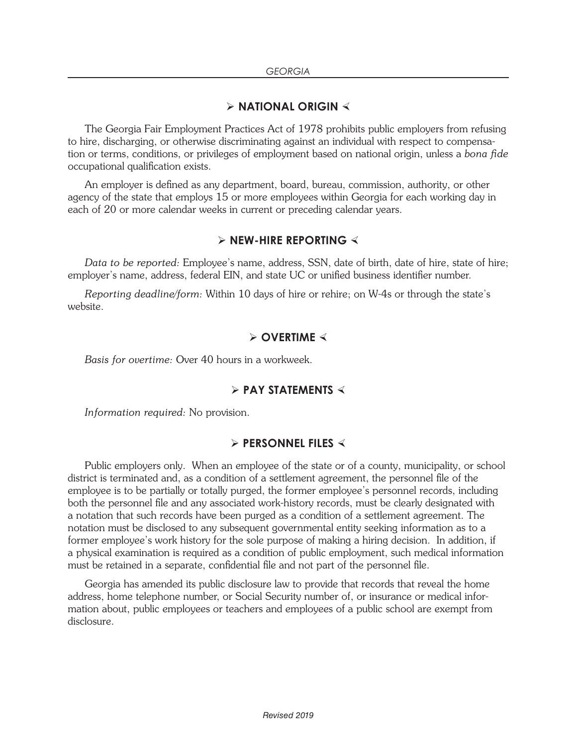# **NATIONAL ORIGIN**

The Georgia Fair Employment Practices Act of 1978 prohibits public employers from refusing to hire, discharging, or otherwise discriminating against an individual with respect to compensation or terms, conditions, or privileges of employment based on national origin, unless a *bona fide* occupational qualification exists.

An employer is defined as any department, board, bureau, commission, authority, or other agency of the state that employs 15 or more employees within Georgia for each working day in each of 20 or more calendar weeks in current or preceding calendar years.

### $\triangleright$  NEW-HIRE REPORTING  $\triangleleft$

*Data to be reported:* Employee's name, address, SSN, date of birth, date of hire, state of hire; employer's name, address, federal EIN, and state UC or unified business identifier number.

*Reporting deadline/form:* Within 10 days of hire or rehire; on W-4s or through the state's website.

# $\triangleright$  OVERTIME  $\triangleleft$

*Basis for overtime:* Over 40 hours in a workweek.

# **PAY STATEMENTS**

*Information required:* No provision.

#### **PERSONNEL FILES**

Public employers only. When an employee of the state or of a county, municipality, or school district is terminated and, as a condition of a settlement agreement, the personnel file of the employee is to be partially or totally purged, the former employee's personnel records, including both the personnel file and any associated work-history records, must be clearly designated with a notation that such records have been purged as a condition of a settlement agreement. The notation must be disclosed to any subsequent governmental entity seeking information as to a former employee's work history for the sole purpose of making a hiring decision. In addition, if a physical examination is required as a condition of public employment, such medical information must be retained in a separate, confidential file and not part of the personnel file.

Georgia has amended its public disclosure law to provide that records that reveal the home address, home telephone number, or Social Security number of, or insurance or medical information about, public employees or teachers and employees of a public school are exempt from disclosure.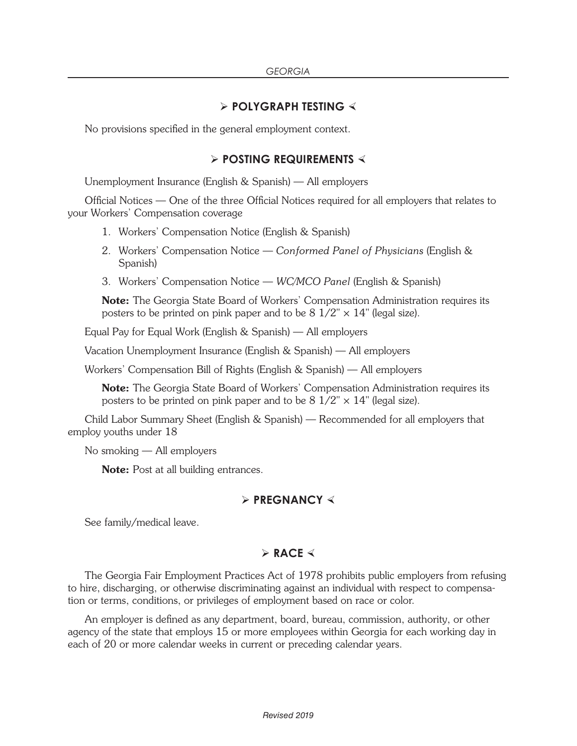# **POLYGRAPH TESTING**

No provisions specified in the general employment context.

# **POSTING REQUIREMENTS**

Unemployment Insurance (English & Spanish) — All employers

Official Notices — One of the three Official Notices required for all employers that relates to your Workers' Compensation coverage

- 1. Workers' Compensation Notice (English & Spanish)
- 2. Workers' Compensation Notice *Conformed Panel of Physicians* (English & Spanish)
- 3. Workers' Compensation Notice *WC/MCO Panel* (English & Spanish)

Note: The Georgia State Board of Workers' Compensation Administration requires its posters to be printed on pink paper and to be  $8 \frac{1}{2}$  × 14" (legal size).

Equal Pay for Equal Work (English & Spanish) — All employers

Vacation Unemployment Insurance (English & Spanish) — All employers

Workers' Compensation Bill of Rights (English & Spanish) — All employers

Note: The Georgia State Board of Workers' Compensation Administration requires its posters to be printed on pink paper and to be  $8\frac{1}{2} \times 14$ " (legal size).

Child Labor Summary Sheet (English & Spanish) — Recommended for all employers that employ youths under 18

No smoking — All employers

**Note:** Post at all building entrances.

### $\triangleright$  PRFGNANCY  $\triangleleft$

See family/medical leave.

#### $\triangleright$  RACE  $\triangleleft$

The Georgia Fair Employment Practices Act of 1978 prohibits public employers from refusing to hire, discharging, or otherwise discriminating against an individual with respect to compensation or terms, conditions, or privileges of employment based on race or color.

An employer is defined as any department, board, bureau, commission, authority, or other agency of the state that employs 15 or more employees within Georgia for each working day in each of 20 or more calendar weeks in current or preceding calendar years.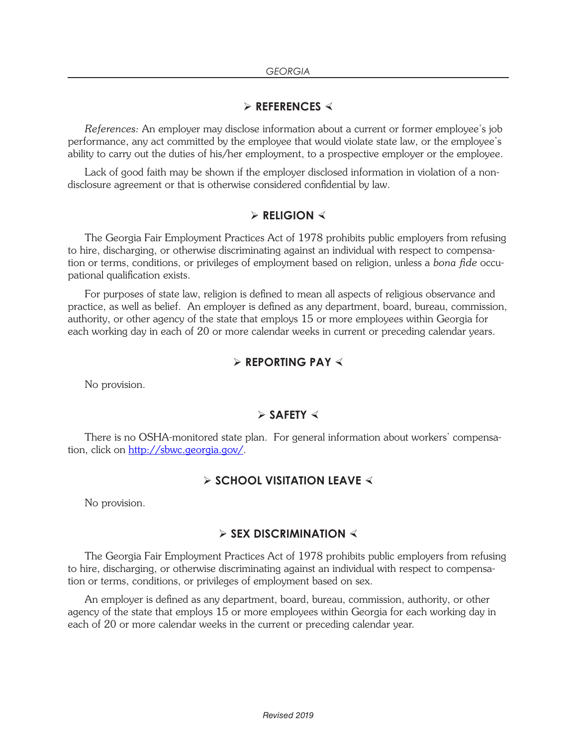### $\triangleright$  REFERENCES  $\triangleleft$

*References:* An employer may disclose information about a current or former employee's job performance, any act committed by the employee that would violate state law, or the employee's ability to carry out the duties of his/her employment, to a prospective employer or the employee.

Lack of good faith may be shown if the employer disclosed information in violation of a nondisclosure agreement or that is otherwise considered confidential by law.

#### $\triangleright$  RELIGION  $\triangleleft$

The Georgia Fair Employment Practices Act of 1978 prohibits public employers from refusing to hire, discharging, or otherwise discriminating against an individual with respect to compensation or terms, conditions, or privileges of employment based on religion, unless a *bona fide* occupational qualification exists.

For purposes of state law, religion is defined to mean all aspects of religious observance and practice, as well as belief. An employer is defined as any department, board, bureau, commission, authority, or other agency of the state that employs 15 or more employees within Georgia for each working day in each of 20 or more calendar weeks in current or preceding calendar years.

### **ERPORTING PAY 4**

No provision.

#### **SAFETY**

There is no OSHA-monitored state plan. For general information about workers' compensation, click on<http://sbwc.georgia.gov>/.

#### **EXCHOOL VISITATION LEAVE 4**

No provision.

#### $>$  SEX DISCRIMINATION  $\triangleleft$

The Georgia Fair Employment Practices Act of 1978 prohibits public employers from refusing to hire, discharging, or otherwise discriminating against an individual with respect to compensation or terms, conditions, or privileges of employment based on sex.

An employer is defined as any department, board, bureau, commission, authority, or other agency of the state that employs 15 or more employees within Georgia for each working day in each of 20 or more calendar weeks in the current or preceding calendar year.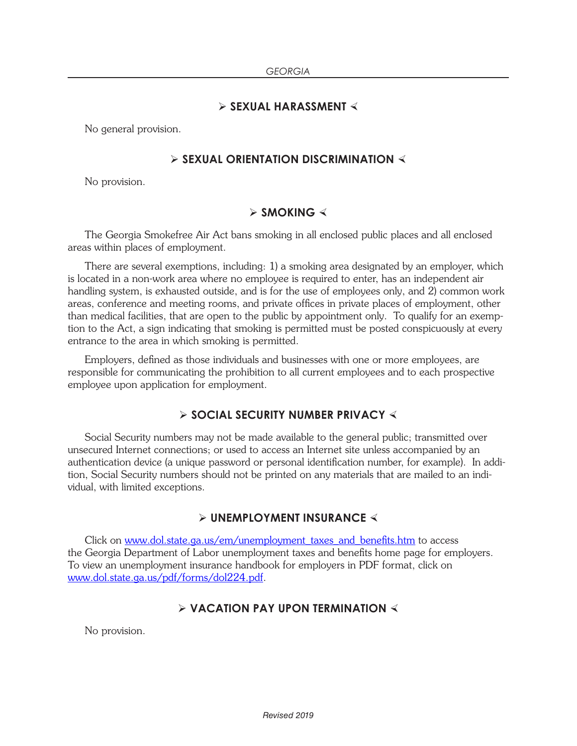### **SEXUAL HARASSMENT**

No general provision.

# **SEXUAL ORIENTATION DISCRIMINATION**

No provision.

# **SMOKING**

The Georgia Smokefree Air Act bans smoking in all enclosed public places and all enclosed areas within places of employment.

There are several exemptions, including: 1) a smoking area designated by an employer, which is located in a non-work area where no employee is required to enter, has an independent air handling system, is exhausted outside, and is for the use of employees only, and 2) common work areas, conference and meeting rooms, and private offices in private places of employment, other than medical facilities, that are open to the public by appointment only. To qualify for an exemption to the Act, a sign indicating that smoking is permitted must be posted conspicuously at every entrance to the area in which smoking is permitted.

Employers, defined as those individuals and businesses with one or more employees, are responsible for communicating the prohibition to all current employees and to each prospective employee upon application for employment.

# **SOCIAL SECURITY NUMBER PRIVACY 4**

Social Security numbers may not be made available to the general public; transmitted over unsecured Internet connections; or used to access an Internet site unless accompanied by an authentication device (a unique password or personal identification number, for example). In addition, Social Security numbers should not be printed on any materials that are mailed to an individual, with limited exceptions.

# **UNEMPLOYMENT INSURANCE**

Click on [www.dol.state.ga.us/em/unemployment\\_taxes\\_and\\_benefits.htm](www.dol.state.ga.us/em/unemployment_taxes_and_benefits.htm) to access the Georgia Department of Labor unemployment taxes and benefits home page for employers. To view an unemployment insurance handbook for employers in PDF format, click on <www.dol.state.ga.us/pdf/forms/dol224.pdf>.

# **VACATION PAY UPON TERMINATION**

No provision.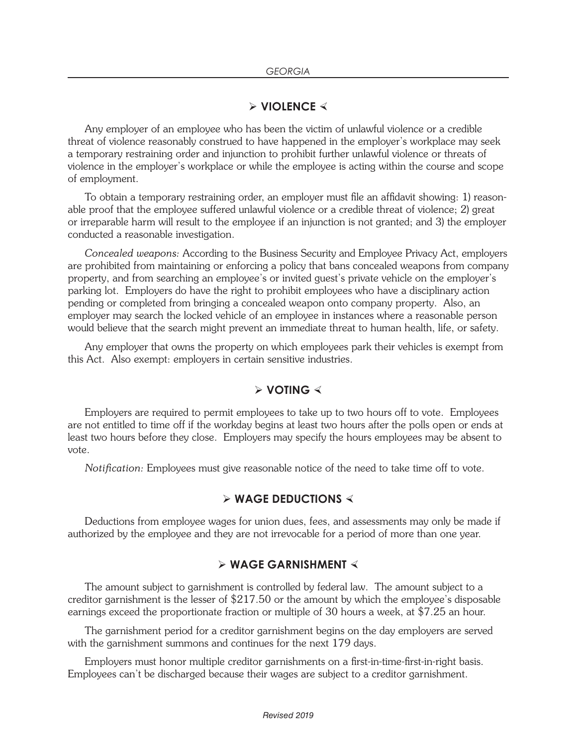# **VIOLENCE**

Any employer of an employee who has been the victim of unlawful violence or a credible threat of violence reasonably construed to have happened in the employer's workplace may seek a temporary restraining order and injunction to prohibit further unlawful violence or threats of violence in the employer's workplace or while the employee is acting within the course and scope of employment.

To obtain a temporary restraining order, an employer must file an affidavit showing: 1) reasonable proof that the employee suffered unlawful violence or a credible threat of violence; 2) great or irreparable harm will result to the employee if an injunction is not granted; and 3) the employer conducted a reasonable investigation.

*Concealed weapons:* According to the Business Security and Employee Privacy Act, employers are prohibited from maintaining or enforcing a policy that bans concealed weapons from company property, and from searching an employee's or invited guest's private vehicle on the employer's parking lot. Employers do have the right to prohibit employees who have a disciplinary action pending or completed from bringing a concealed weapon onto company property. Also, an employer may search the locked vehicle of an employee in instances where a reasonable person would believe that the search might prevent an immediate threat to human health, life, or safety.

Any employer that owns the property on which employees park their vehicles is exempt from this Act. Also exempt: employers in certain sensitive industries.

# **VOTING**

Employers are required to permit employees to take up to two hours off to vote. Employees are not entitled to time off if the workday begins at least two hours after the polls open or ends at least two hours before they close. Employers may specify the hours employees may be absent to vote.

*Notification:* Employees must give reasonable notice of the need to take time off to vote.

# $\triangleright$  WAGE DEDUCTIONS  $\triangleleft$

Deductions from employee wages for union dues, fees, and assessments may only be made if authorized by the employee and they are not irrevocable for a period of more than one year.

#### **WAGE GARNISHMENT**

The amount subject to garnishment is controlled by federal law. The amount subject to a creditor garnishment is the lesser of \$217.50 or the amount by which the employee's disposable earnings exceed the proportionate fraction or multiple of 30 hours a week, at \$7.25 an hour.

The garnishment period for a creditor garnishment begins on the day employers are served with the garnishment summons and continues for the next 179 days.

Employers must honor multiple creditor garnishments on a first-in-time-first-in-right basis. Employees can't be discharged because their wages are subject to a creditor garnishment.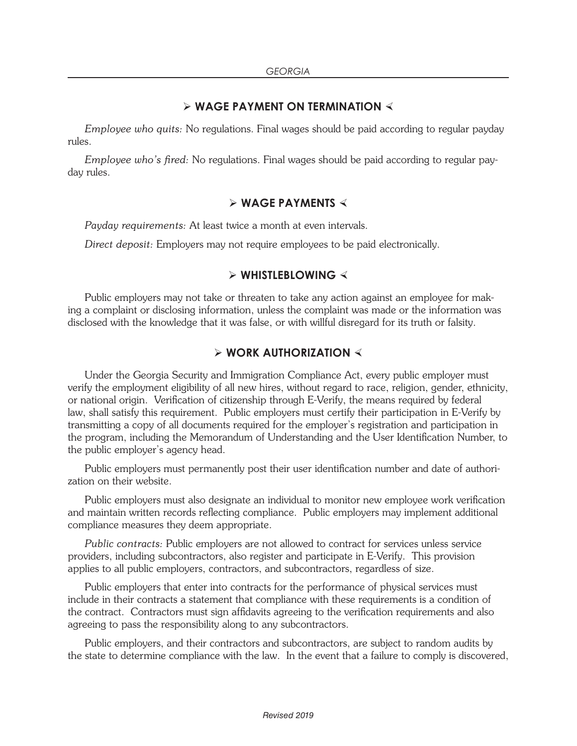# **WAGE PAYMENT ON TERMINATION**

*Employee who quits:* No regulations. Final wages should be paid according to regular payday rules.

*Employee who's fired:* No regulations. Final wages should be paid according to regular payday rules.

# **WAGE PAYMENTS**

*Payday requirements:* At least twice a month at even intervals.

*Direct deposit:* Employers may not require employees to be paid electronically.

#### **WHISTLEBLOWING**

Public employers may not take or threaten to take any action against an employee for making a complaint or disclosing information, unless the complaint was made or the information was disclosed with the knowledge that it was false, or with willful disregard for its truth or falsity.

# $\triangleright$  WORK AUTHORIZATION  $\triangleleft$

Under the Georgia Security and Immigration Compliance Act, every public employer must verify the employment eligibility of all new hires, without regard to race, religion, gender, ethnicity, or national origin. Verification of citizenship through E-Verify, the means required by federal law, shall satisfy this requirement. Public employers must certify their participation in E-Verify by transmitting a copy of all documents required for the employer's registration and participation in the program, including the Memorandum of Understanding and the User Identification Number, to the public employer's agency head.

Public employers must permanently post their user identification number and date of authorization on their website.

Public employers must also designate an individual to monitor new employee work verification and maintain written records reflecting compliance. Public employers may implement additional compliance measures they deem appropriate.

*Public contracts:* Public employers are not allowed to contract for services unless service providers, including subcontractors, also register and participate in E-Verify. This provision applies to all public employers, contractors, and subcontractors, regardless of size.

Public employers that enter into contracts for the performance of physical services must include in their contracts a statement that compliance with these requirements is a condition of the contract. Contractors must sign affidavits agreeing to the verification requirements and also agreeing to pass the responsibility along to any subcontractors.

Public employers, and their contractors and subcontractors, are subject to random audits by the state to determine compliance with the law. In the event that a failure to comply is discovered,